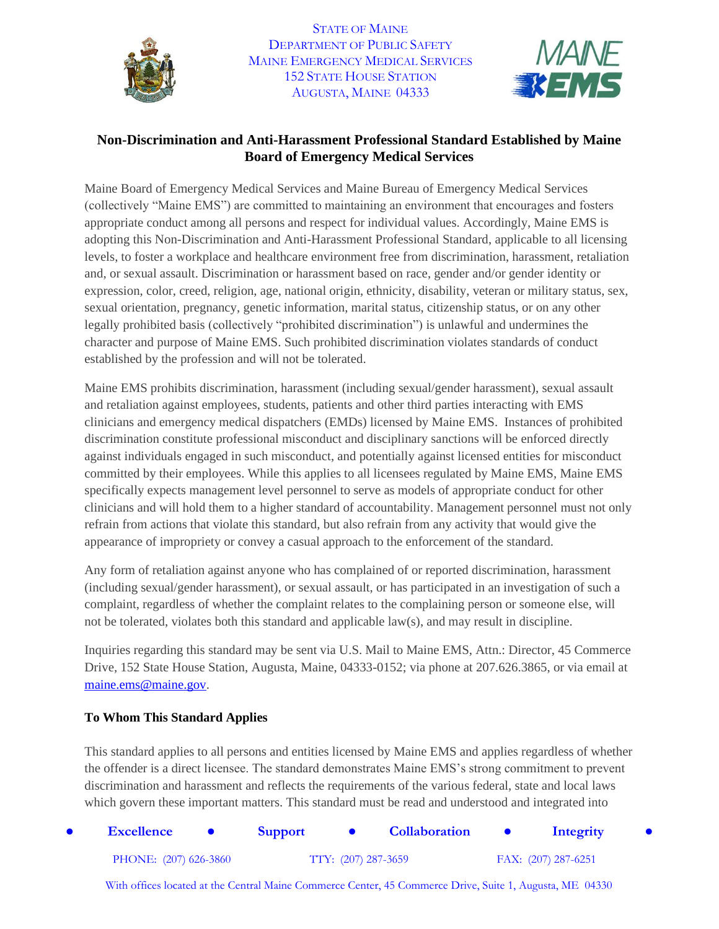

STATE OF MAINE DEPARTMENT OF PUBLIC SAFETY MAINE EMERGENCY MEDICAL SERVICES 152 STATE HOUSE STATION AUGUSTA, MAINE 04333



## **Non-Discrimination and Anti-Harassment Professional Standard Established by Maine Board of Emergency Medical Services**

Maine Board of Emergency Medical Services and Maine Bureau of Emergency Medical Services (collectively "Maine EMS") are committed to maintaining an environment that encourages and fosters appropriate conduct among all persons and respect for individual values. Accordingly, Maine EMS is adopting this Non-Discrimination and Anti-Harassment Professional Standard, applicable to all licensing levels, to foster a workplace and healthcare environment free from discrimination, harassment, retaliation and, or sexual assault. Discrimination or harassment based on race, gender and/or gender identity or expression, color, creed, religion, age, national origin, ethnicity, disability, veteran or military status, sex, sexual orientation, pregnancy, genetic information, marital status, citizenship status, or on any other legally prohibited basis (collectively "prohibited discrimination") is unlawful and undermines the character and purpose of Maine EMS. Such prohibited discrimination violates standards of conduct established by the profession and will not be tolerated.

Maine EMS prohibits discrimination, harassment (including sexual/gender harassment), sexual assault and retaliation against employees, students, patients and other third parties interacting with EMS clinicians and emergency medical dispatchers (EMDs) licensed by Maine EMS. Instances of prohibited discrimination constitute professional misconduct and disciplinary sanctions will be enforced directly against individuals engaged in such misconduct, and potentially against licensed entities for misconduct committed by their employees. While this applies to all licensees regulated by Maine EMS, Maine EMS specifically expects management level personnel to serve as models of appropriate conduct for other clinicians and will hold them to a higher standard of accountability. Management personnel must not only refrain from actions that violate this standard, but also refrain from any activity that would give the appearance of impropriety or convey a casual approach to the enforcement of the standard.

Any form of retaliation against anyone who has complained of or reported discrimination, harassment (including sexual/gender harassment), or sexual assault, or has participated in an investigation of such a complaint, regardless of whether the complaint relates to the complaining person or someone else, will not be tolerated, violates both this standard and applicable law(s), and may result in discipline.

Inquiries regarding this standard may be sent via U.S. Mail to Maine EMS, Attn.: Director, 45 Commerce Drive, 152 State House Station, Augusta, Maine, 04333-0152; via phone at 207.626.3865, or via email at [maine.ems@maine.gov.](mailto:maine.ems@maine.gov)

## **To Whom This Standard Applies**

This standard applies to all persons and entities licensed by Maine EMS and applies regardless of whether the offender is a direct licensee. The standard demonstrates Maine EMS's strong commitment to prevent discrimination and harassment and reflects the requirements of the various federal, state and local laws which govern these important matters. This standard must be read and understood and integrated into

| <b>Excellence</b>     | <b>Support</b> |                       | <b>Collaboration</b> | Integrity           |  |
|-----------------------|----------------|-----------------------|----------------------|---------------------|--|
| PHONE: (207) 626-3860 |                | $TTY: (207) 287-3659$ |                      | FAX: (207) 287-6251 |  |

With offices located at the Central Maine Commerce Center, 45 Commerce Drive, Suite 1, Augusta, ME 04330